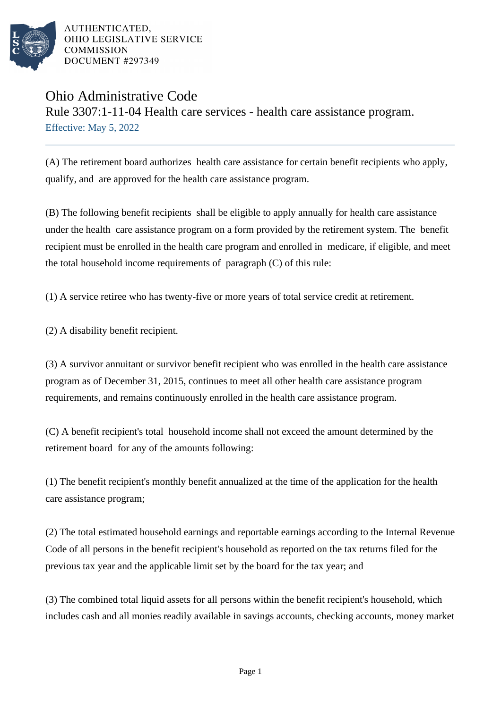

AUTHENTICATED. OHIO LEGISLATIVE SERVICE **COMMISSION** DOCUMENT #297349

## Ohio Administrative Code

Rule 3307:1-11-04 Health care services - health care assistance program. Effective: May 5, 2022

(A) The retirement board authorizes health care assistance for certain benefit recipients who apply, qualify, and are approved for the health care assistance program.

(B) The following benefit recipients shall be eligible to apply annually for health care assistance under the health care assistance program on a form provided by the retirement system. The benefit recipient must be enrolled in the health care program and enrolled in medicare, if eligible, and meet the total household income requirements of paragraph (C) of this rule:

(1) A service retiree who has twenty-five or more years of total service credit at retirement.

 $(2)$  A disability benefit recipient.

(3) A survivor annuitant or survivor benefit recipient who was enrolled in the health care assistance program as of December 31, 2015, continues to meet all other health care assistance program requirements, and remains continuously enrolled in the health care assistance program.

(C) A benefit recipient's total household income shall not exceed the amount determined by the retirement board for any of the amounts following:

(1) The benefit recipient's monthly benefit annualized at the time of the application for the health care assistance program;

(2) The total estimated household earnings and reportable earnings according to the Internal Revenue Code of all persons in the benefit recipient's household as reported on the tax returns filed for the previous tax year and the applicable limit set by the board for the tax year; and

(3) The combined total liquid assets for all persons within the benefit recipient's household, which includes cash and all monies readily available in savings accounts, checking accounts, money market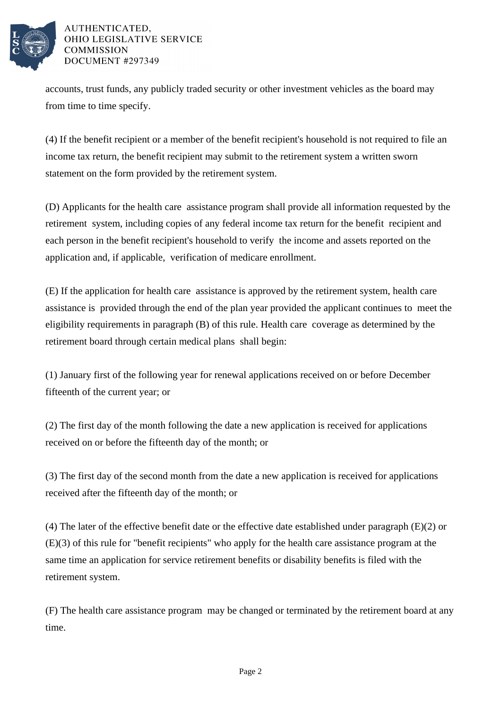

## AUTHENTICATED. OHIO LEGISLATIVE SERVICE **COMMISSION** DOCUMENT #297349

accounts, trust funds, any publicly traded security or other investment vehicles as the board may from time to time specify.

(4) If the benefit recipient or a member of the benefit recipient's household is not required to file an income tax return, the benefit recipient may submit to the retirement system a written sworn statement on the form provided by the retirement system.

(D) Applicants for the health care assistance program shall provide all information requested by the retirement system, including copies of any federal income tax return for the benefit recipient and each person in the benefit recipient's household to verify the income and assets reported on the application and, if applicable, verification of medicare enrollment.

(E) If the application for health care assistance is approved by the retirement system, health care assistance is provided through the end of the plan year provided the applicant continues to meet the eligibility requirements in paragraph (B) of this rule. Health care coverage as determined by the retirement board through certain medical plans shall begin:

(1) January first of the following year for renewal applications received on or before December fifteenth of the current year; or

(2) The first day of the month following the date a new application is received for applications received on or before the fifteenth day of the month; or

(3) The first day of the second month from the date a new application is received for applications received after the fifteenth day of the month; or

(4) The later of the effective benefit date or the effective date established under paragraph (E)(2) or  $(E)(3)$  of this rule for "benefit recipients" who apply for the health care assistance program at the same time an application for service retirement benefits or disability benefits is filed with the retirement system.

(F) The health care assistance program may be changed or terminated by the retirement board at any time.